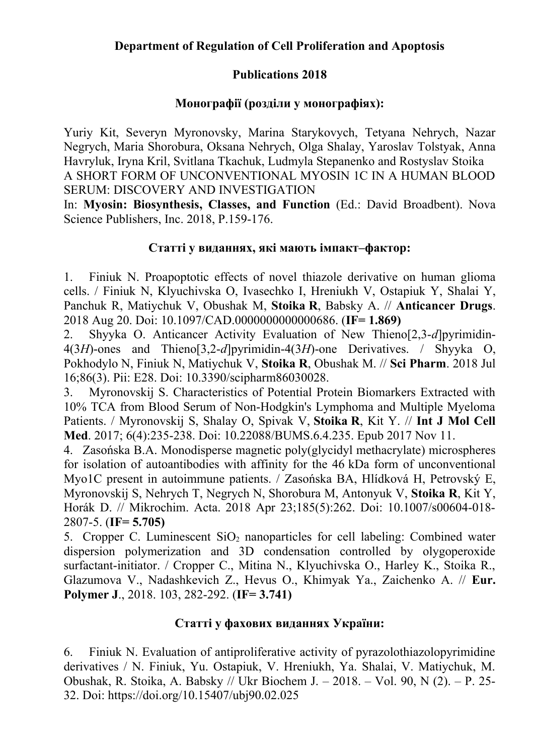## **Publications 2018**

# **Монографії (розділи у монографіях):**

Yuriy Kit, Severyn Myronovsky, Marina Starykovych, Tetyana Nehrych, Nazar Negrych, Maria Shorobura, Oksana Nehrych, Olga Shalay, Yaroslav Tolstyak, Anna Havryluk, Iryna Kril, Svitlana Tkachuk, Ludmyla Stepanenko and Rostyslav Stoika A SHORT FORM OF UNCONVENTIONAL MYOSIN 1C IN A HUMAN BLOOD SERUM: DISCOVERY AND INVESTIGATION

In: **Myosin: Biosynthesis, Classes, and Function** (Ed.: David Broadbent). Nova Science Publishers, Inc. 2018, P.159-176.

## **Статті у виданнях, які мають імпакт–фактор:**

1. Finiuk N. Proapoptotic effects of novel thiazole derivative on human glioma cells. / Finiuk N, Klyuchivska O, Ivasechko I, Hreniukh V, Ostapiuk Y, Shalai Y, Panchuk R, Matiychuk V, Obushak M, **Stoika R**, Babsky A. // **Anticancer Drugs**. 2018 Aug 20. Doi: 10.1097/CAD.0000000000000686. (**IF= 1.869)**

2. Shyyka O. Anticancer Activity Evaluation of New Thieno[2,3-*d*]pyrimidin-4(3*H*)-ones and Thieno[3,2-*d*]pyrimidin-4(3*H*)-one Derivatives. / Shyyka O, Pokhodylo N, Finiuk N, Matiychuk V, **Stoika R**, Obushak M. // **Sci Pharm**. 2018 Jul 16;86(3). Pii: E28. Doi: 10.3390/scipharm86030028.

3. Myronovskij S. Characteristics of Potential Protein Biomarkers Extracted with 10% TCA from Blood Serum of Non-Hodgkin's Lymphoma and Multiple Myeloma Patients. / Myronovskij S, Shalay O, Spivak V, **Stoika R**, Kit Y. // **Int J Mol Cell Med**. 2017; 6(4):235-238. Doi: 10.22088/BUMS.6.4.235. Epub 2017 Nov 11.

4. Zasońska B.A. Monodisperse magnetic poly(glycidyl methacrylate) microspheres for isolation of autoantibodies with affinity for the 46 kDa form of unconventional Myo1C present in autoimmune patients. / Zasońska BA, Hlídková H, Petrovský E, Myronovskij S, Nehrych T, Negrych N, Shorobura M, Antonyuk V, **Stoika R**, Kit Y, Horák D. // Mikrochim. Acta. 2018 Apr 23;185(5):262. Doi: 10.1007/s00604-018- 2807-5. (**IF= 5.705)**

5. Cropper C. Luminescent  $SiO<sub>2</sub>$  nanoparticles for cell labeling: Combined water dispersion polymerization and 3D condensation controlled by olygoperoxide surfactant-initiator. / Cropper C., Mitina N., Klyuchivska O., Harley K., Stoika R., Glazumova V., Nadashkevich Z., Hevus O., Khimyak Ya., Zaichenko A. // **Eur. Polymer J**., 2018. 103, 282-292. (**IF= 3.741)**

## **Статті у фахових виданнях України:**

6. Finiuk N. Evaluation of antiproliferative activity of pyrazolothiazolopyrimidine derivatives / N. Finiuk, Yu. Ostapiuk, V. Hreniukh, Ya. Shalai, V. Matiychuk, M. Obushak, R. Stoika, A. Babsky // Ukr Biochem J. – 2018. – Vol. 90, N (2). – P. 25- 32. Doi: https://doi.org/10.15407/ubj90.02.025